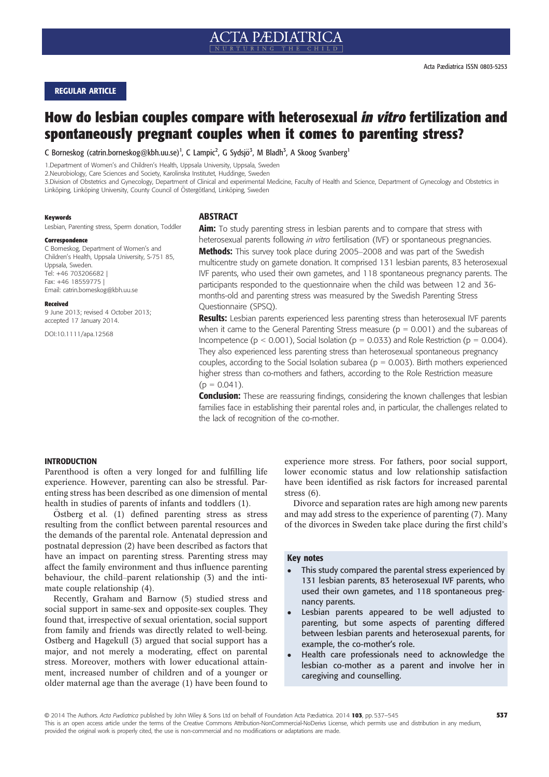## REGULAR ARTICLE

# How do lesbian couples compare with heterosexual in vitro fertilization and spontaneously pregnant couples when it comes to parenting stress?

C Borneskog (catrin.borneskog@kbh.uu.se)<sup>1</sup>, C Lampic<sup>2</sup>, G Sydsjö<sup>3</sup>, M Bladh<sup>3</sup>, A Skoog Svanberg<sup>1</sup>

1.Department of Women's and Children's Health, Uppsala University, Uppsala, Sweden

2.Neurobiology, Care Sciences and Society, Karolinska Institutet, Huddinge, Sweden

3.Division of Obstetrics and Gynecology, Department of Clinical and experimental Medicine, Faculty of Health and Science, Department of Gynecology and Obstetrics in Linköping, Linköping University, County Council of Östergötland, Linköping, Sweden

#### Keywords

Lesbian, Parenting stress, Sperm donation, Toddler

#### **Correspondence**

C Borneskog, Department of Women's and Children's Health, Uppsala University, S-751 85, Uppsala, Sweden. Tel: +46 703206682 | Fax: +46 18559775 | Email: catrin.borneskog@kbh.uu.se

#### Received

9 June 2013; revised 4 October 2013; accepted 17 January 2014.

DOI:10.1111/apa.12568

#### ABSTRACT

Aim: To study parenting stress in lesbian parents and to compare that stress with heterosexual parents following in vitro fertilisation (IVF) or spontaneous pregnancies. **Methods:** This survey took place during 2005–2008 and was part of the Swedish multicentre study on gamete donation. It comprised 131 lesbian parents, 83 heterosexual IVF parents, who used their own gametes, and 118 spontaneous pregnancy parents. The participants responded to the questionnaire when the child was between 12 and 36 months-old and parenting stress was measured by the Swedish Parenting Stress Questionnaire (SPSQ).

Results: Lesbian parents experienced less parenting stress than heterosexual IVF parents when it came to the General Parenting Stress measure ( $p = 0.001$ ) and the subareas of Incompetence ( $p < 0.001$ ), Social Isolation ( $p = 0.033$ ) and Role Restriction ( $p = 0.004$ ). They also experienced less parenting stress than heterosexual spontaneous pregnancy couples, according to the Social Isolation subarea ( $p = 0.003$ ). Birth mothers experienced higher stress than co-mothers and fathers, according to the Role Restriction measure  $(p = 0.041)$ .

**Conclusion:** These are reassuring findings, considering the known challenges that lesbian families face in establishing their parental roles and, in particular, the challenges related to the lack of recognition of the co-mother.

## INTRODUCTION

Parenthood is often a very longed for and fulfilling life experience. However, parenting can also be stressful. Parenting stress has been described as one dimension of mental health in studies of parents of infants and toddlers (1).

 $O$ stberg et al.  $(1)$  defined parenting stress as stress resulting from the conflict between parental resources and the demands of the parental role. Antenatal depression and postnatal depression (2) have been described as factors that have an impact on parenting stress. Parenting stress may affect the family environment and thus influence parenting behaviour, the child–parent relationship (3) and the intimate couple relationship (4).

Recently, Graham and Barnow (5) studied stress and social support in same-sex and opposite-sex couples. They found that, irrespective of sexual orientation, social support from family and friends was directly related to well-being. Ostberg and Hagekull (3) argued that social support has a major, and not merely a moderating, effect on parental stress. Moreover, mothers with lower educational attainment, increased number of children and of a younger or older maternal age than the average (1) have been found to

experience more stress. For fathers, poor social support, lower economic status and low relationship satisfaction have been identified as risk factors for increased parental stress (6).

Divorce and separation rates are high among new parents and may add stress to the experience of parenting (7). Many of the divorces in Sweden take place during the first child's

#### Key notes

- This study compared the parental stress experienced by 131 lesbian parents, 83 heterosexual IVF parents, who used their own gametes, and 118 spontaneous pregnancy parents.
- Lesbian parents appeared to be well adjusted to parenting, but some aspects of parenting differed between lesbian parents and heterosexual parents, for example, the co-mother's role.
- ! Health care professionals need to acknowledge the lesbian co-mother as a parent and involve her in caregiving and counselling.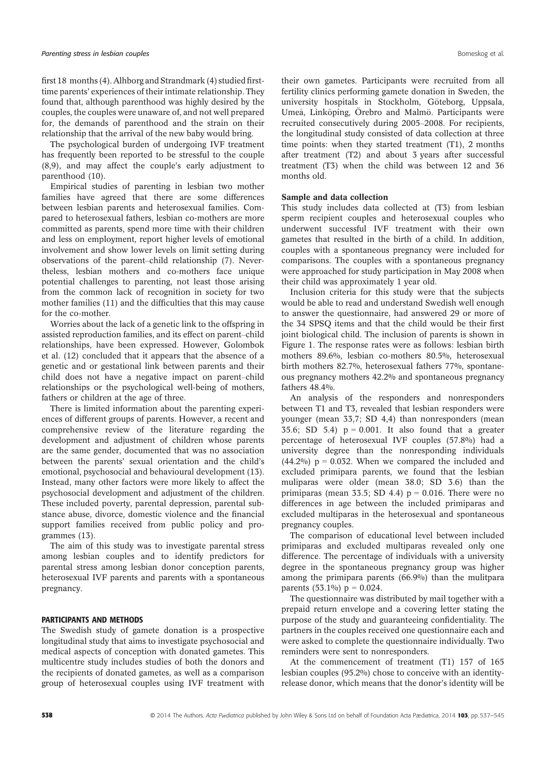first 18 months (4). Alhborg and Strandmark (4) studied firsttime parents' experiences of their intimate relationship. They found that, although parenthood was highly desired by the couples, the couples were unaware of, and not well prepared for, the demands of parenthood and the strain on their relationship that the arrival of the new baby would bring.

The psychological burden of undergoing IVF treatment has frequently been reported to be stressful to the couple (8,9), and may affect the couple's early adjustment to parenthood (10).

Empirical studies of parenting in lesbian two mother families have agreed that there are some differences between lesbian parents and heterosexual families. Compared to heterosexual fathers, lesbian co-mothers are more committed as parents, spend more time with their children and less on employment, report higher levels of emotional involvement and show lower levels on limit setting during observations of the parent–child relationship (7). Nevertheless, lesbian mothers and co-mothers face unique potential challenges to parenting, not least those arising from the common lack of recognition in society for two mother families (11) and the difficulties that this may cause for the co-mother.

Worries about the lack of a genetic link to the offspring in assisted reproduction families, and its effect on parent–child relationships, have been expressed. However, Golombok et al. (12) concluded that it appears that the absence of a genetic and or gestational link between parents and their child does not have a negative impact on parent–child relationships or the psychological well-being of mothers, fathers or children at the age of three.

There is limited information about the parenting experiences of different groups of parents. However, a recent and comprehensive review of the literature regarding the development and adjustment of children whose parents are the same gender, documented that was no association between the parents' sexual orientation and the child's emotional, psychosocial and behavioural development (13). Instead, many other factors were more likely to affect the psychosocial development and adjustment of the children. These included poverty, parental depression, parental substance abuse, divorce, domestic violence and the financial support families received from public policy and programmes (13).

The aim of this study was to investigate parental stress among lesbian couples and to identify predictors for parental stress among lesbian donor conception parents, heterosexual IVF parents and parents with a spontaneous pregnancy.

## PARTICIPANTS AND METHODS

The Swedish study of gamete donation is a prospective longitudinal study that aims to investigate psychosocial and medical aspects of conception with donated gametes. This multicentre study includes studies of both the donors and the recipients of donated gametes, as well as a comparison group of heterosexual couples using IVF treatment with their own gametes. Participants were recruited from all fertility clinics performing gamete donation in Sweden, the university hospitals in Stockholm, Göteborg, Uppsala, Umeå, Linköping, Örebro and Malmö. Participants were recruited consecutively during 2005–2008. For recipients, the longitudinal study consisted of data collection at three time points: when they started treatment (T1), 2 months after treatment (T2) and about 3 years after successful treatment (T3) when the child was between 12 and 36 months old.

## Sample and data collection

This study includes data collected at (T3) from lesbian sperm recipient couples and heterosexual couples who underwent successful IVF treatment with their own gametes that resulted in the birth of a child. In addition, couples with a spontaneous pregnancy were included for comparisons. The couples with a spontaneous pregnancy were approached for study participation in May 2008 when their child was approximately 1 year old.

Inclusion criteria for this study were that the subjects would be able to read and understand Swedish well enough to answer the questionnaire, had answered 29 or more of the 34 SPSQ items and that the child would be their first joint biological child. The inclusion of parents is shown in Figure 1. The response rates were as follows: lesbian birth mothers 89.6%, lesbian co-mothers 80.5%, heterosexual birth mothers 82.7%, heterosexual fathers 77%, spontaneous pregnancy mothers 42.2% and spontaneous pregnancy fathers 48.4%.

An analysis of the responders and nonresponders between T1 and T3, revealed that lesbian responders were younger (mean 33,7; SD 4,4) than nonresponders (mean 35.6; SD 5.4)  $p = 0.001$ . It also found that a greater percentage of heterosexual IVF couples (57.8%) had a university degree than the nonresponding individuals  $(44.2\%)$  p = 0.032. When we compared the included and excluded primipara parents, we found that the lesbian muliparas were older (mean 38.0; SD 3.6) than the primiparas (mean 33.5; SD 4.4)  $p = 0.016$ . There were no differences in age between the included primiparas and excluded multiparas in the heterosexual and spontaneous pregnancy couples.

The comparison of educational level between included primiparas and excluded multiparas revealed only one difference. The percentage of individuals with a university degree in the spontaneous pregnancy group was higher among the primipara parents (66.9%) than the mulitpara parents  $(53.1\%) p = 0.024$ .

The questionnaire was distributed by mail together with a prepaid return envelope and a covering letter stating the purpose of the study and guaranteeing confidentiality. The partners in the couples received one questionnaire each and were asked to complete the questionnaire individually. Two reminders were sent to nonresponders.

At the commencement of treatment (T1) 157 of 165 lesbian couples (95.2%) chose to conceive with an identityrelease donor, which means that the donor's identity will be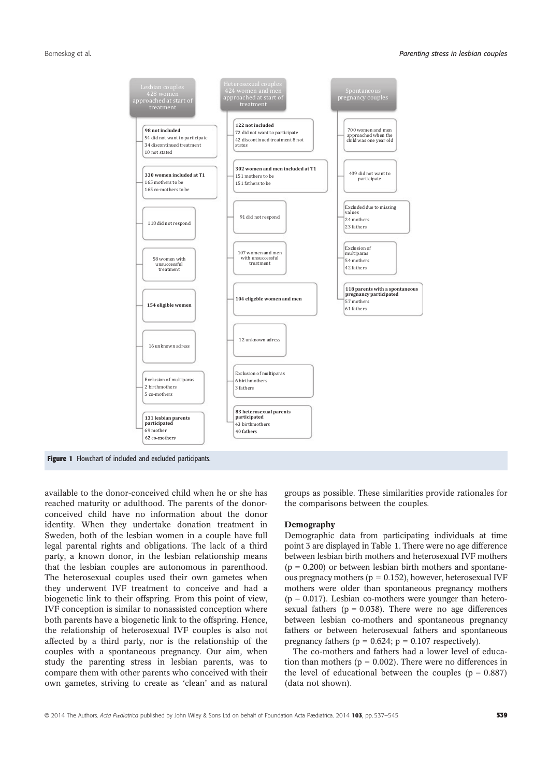

available to the donor-conceived child when he or she has reached maturity or adulthood. The parents of the donorconceived child have no information about the donor identity. When they undertake donation treatment in Sweden, both of the lesbian women in a couple have full legal parental rights and obligations. The lack of a third party, a known donor, in the lesbian relationship means that the lesbian couples are autonomous in parenthood. The heterosexual couples used their own gametes when they underwent IVF treatment to conceive and had a biogenetic link to their offspring. From this point of view, IVF conception is similar to nonassisted conception where both parents have a biogenetic link to the offspring. Hence, the relationship of heterosexual IVF couples is also not affected by a third party, nor is the relationship of the couples with a spontaneous pregnancy. Our aim, when study the parenting stress in lesbian parents, was to compare them with other parents who conceived with their own gametes, striving to create as 'clean' and as natural groups as possible. These similarities provide rationales for the comparisons between the couples.

#### Demography

Demographic data from participating individuals at time point 3 are displayed in Table 1. There were no age difference between lesbian birth mothers and heterosexual IVF mothers  $(p = 0.200)$  or between lesbian birth mothers and spontaneous pregnacy mothers ( $p = 0.152$ ), however, heterosexual IVF mothers were older than spontaneous pregnancy mothers  $(p = 0.017)$ . Lesbian co-mothers were younger than heterosexual fathers ( $p = 0.038$ ). There were no age differences between lesbian co-mothers and spontaneous pregnancy fathers or between heterosexual fathers and spontaneous pregnancy fathers ( $p = 0.624$ ;  $p = 0.107$  respectively).

The co-mothers and fathers had a lower level of education than mothers ( $p = 0.002$ ). There were no differences in the level of educational between the couples ( $p = 0.887$ ) (data not shown).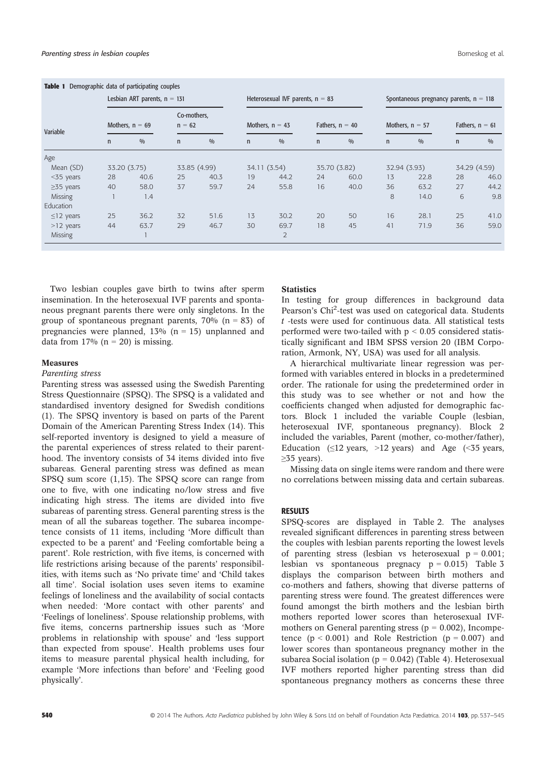|                  |              | Lesbian ART parents, $n = 131$ |                         |              |              | Heterosexual IVF parents, $n = 83$ |              |                   |              | Spontaneous pregnancy parents, $n = 118$ |                   |      |
|------------------|--------------|--------------------------------|-------------------------|--------------|--------------|------------------------------------|--------------|-------------------|--------------|------------------------------------------|-------------------|------|
| Variable         |              | Mothers, $n = 69$              | Co-mothers,<br>$n = 62$ |              |              | Mothers, $n = 43$                  |              | Fathers, $n = 40$ |              | Mothers, $n = 57$                        | Fathers, $n = 61$ |      |
|                  | $\mathsf{n}$ | 0/0                            | $\mathsf{n}$            | 0/0          | $\mathsf{n}$ | 0/0                                | $\mathsf{n}$ | 0/0               | $\mathsf{n}$ | 0/0                                      | $\mathsf{n}$      | 0/0  |
| Age              |              |                                |                         |              |              |                                    |              |                   |              |                                          |                   |      |
| Mean (SD)        |              | 33.20 (3.75)                   |                         | 33.85 (4.99) | 34.11 (3.54) |                                    |              | 35.70 (3.82)      |              | 32.94 (3.93)                             | 34.29 (4.59)      |      |
| $<$ 35 years     | 28           | 40.6                           | 25                      | 40.3         | 19           | 44.2                               | 24           | 60.0              | 13           | 22.8                                     | 28                | 46.0 |
| $\geq$ 35 years  | 40           | 58.0                           | 37                      | 59.7         | 24           | 55.8                               | 16           | 40.0              | 36           | 63.2                                     | 27                | 44.2 |
| Missing          |              | 1.4                            |                         |              |              |                                    |              |                   | 8            | 14.0                                     | 6                 | 9.8  |
| <b>Education</b> |              |                                |                         |              |              |                                    |              |                   |              |                                          |                   |      |
| $\leq$ 12 years  | 25           | 36.2                           | 32                      | 51.6         | 13           | 30.2                               | 20           | 50                | 16           | 28.1                                     | 25                | 41.0 |
| $>12$ years      | 44           | 63.7                           | 29                      | 46.7         | 30           | 69.7                               | 18           | 45                | 41           | 71.9                                     | 36                | 59.0 |
| <b>Missing</b>   |              |                                |                         |              |              | $\overline{2}$                     |              |                   |              |                                          |                   |      |

Two lesbian couples gave birth to twins after sperm insemination. In the heterosexual IVF parents and spontaneous pregnant parents there were only singletons. In the group of spontaneous pregnant parents,  $70\%$  (n = 83) of pregnancies were planned,  $13\%$  (n = 15) unplanned and data from  $17\%$  (n = 20) is missing.

## Measures

## Parenting stress

Parenting stress was assessed using the Swedish Parenting Stress Questionnaire (SPSQ). The SPSQ is a validated and standardised inventory designed for Swedish conditions (1). The SPSQ inventory is based on parts of the Parent Domain of the American Parenting Stress Index (14). This self-reported inventory is designed to yield a measure of the parental experiences of stress related to their parenthood. The inventory consists of 34 items divided into five subareas. General parenting stress was defined as mean SPSQ sum score (1,15). The SPSQ score can range from one to five, with one indicating no/low stress and five indicating high stress. The items are divided into five subareas of parenting stress. General parenting stress is the mean of all the subareas together. The subarea incompetence consists of 11 items, including 'More difficult than expected to be a parent' and 'Feeling comfortable being a parent'. Role restriction, with five items, is concerned with life restrictions arising because of the parents' responsibilities, with items such as 'No private time' and 'Child takes all time'. Social isolation uses seven items to examine feelings of loneliness and the availability of social contacts when needed: 'More contact with other parents' and 'Feelings of loneliness'. Spouse relationship problems, with five items, concerns partnership issues such as 'More problems in relationship with spouse' and 'less support than expected from spouse'. Health problems uses four items to measure parental physical health including, for example 'More infections than before' and 'Feeling good physically'.

## **Statistics**

In testing for group differences in background data Pearson's Chi<sup>2</sup>-test was used on categorical data. Students  $t$  -tests were used for continuous data. All statistical tests performed were two-tailed with  $p < 0.05$  considered statistically significant and IBM SPSS version 20 (IBM Corporation, Armonk, NY, USA) was used for all analysis.

A hierarchical multivariate linear regression was performed with variables entered in blocks in a predetermined order. The rationale for using the predetermined order in this study was to see whether or not and how the coefficients changed when adjusted for demographic factors. Block 1 included the variable Couple (lesbian, heterosexual IVF, spontaneous pregnancy). Block 2 included the variables, Parent (mother, co-mother/father), Education  $(\leq12 \text{ years}, >12 \text{ years})$  and Age  $(\leq35 \text{ years},$  $\geq$ 35 years).

Missing data on single items were random and there were no correlations between missing data and certain subareas.

## RESULTS

SPSQ-scores are displayed in Table 2. The analyses revealed significant differences in parenting stress between the couples with lesbian parents reporting the lowest levels of parenting stress (lesbian vs heterosexual  $p = 0.001$ ; lesbian vs spontaneous pregnacy  $p = 0.015$ ) Table 3 displays the comparison between birth mothers and co-mothers and fathers, showing that diverse patterns of parenting stress were found. The greatest differences were found amongst the birth mothers and the lesbian birth mothers reported lower scores than heterosexual IVFmothers on General parenting stress ( $p = 0.002$ ), Incompetence  $(p < 0.001)$  and Role Restriction  $(p = 0.007)$  and lower scores than spontaneous pregnancy mother in the subarea Social isolation ( $p = 0.042$ ) (Table 4). Heterosexual IVF mothers reported higher parenting stress than did spontaneous pregnancy mothers as concerns these three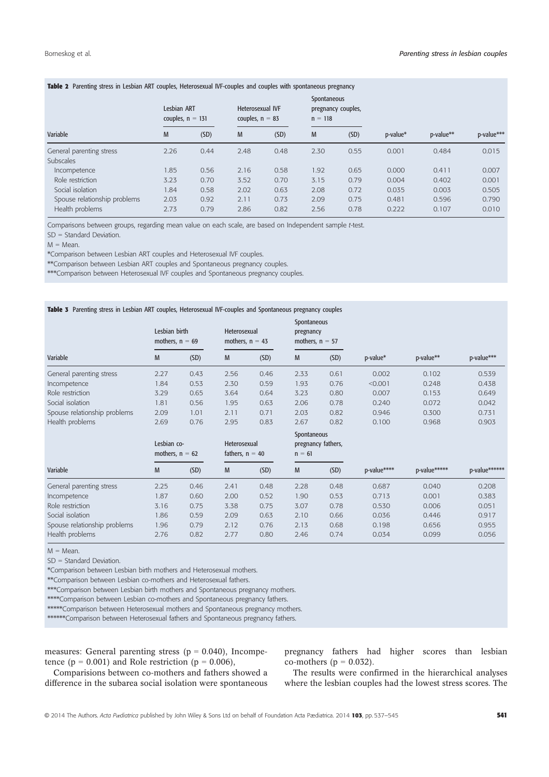| <b>TWPIC &amp;</b> Turchung Sucss in Ecspign have couples, Heterosckian by Couples and Couples With Spontaneous pregnancy |                                   |      |                                              |      |                          |                    |          |           |            |
|---------------------------------------------------------------------------------------------------------------------------|-----------------------------------|------|----------------------------------------------|------|--------------------------|--------------------|----------|-----------|------------|
|                                                                                                                           | Lesbian ART<br>couples, $n = 131$ |      | <b>Heterosexual IVF</b><br>couples, $n = 83$ |      | Spontaneous<br>$n = 118$ | pregnancy couples, |          |           |            |
| Variable                                                                                                                  | M                                 | (SD) | M                                            | (SD) | M                        | (SD)               | p-value* | p-value** | p-value*** |
| General parenting stress                                                                                                  | 2.26                              | 0.44 | 2.48                                         | 0.48 | 2.30                     | 0.55               | 0.001    | 0.484     | 0.015      |
| <b>Subscales</b>                                                                                                          |                                   |      |                                              |      |                          |                    |          |           |            |
| Incompetence                                                                                                              | 1.85                              | 0.56 | 2.16                                         | 0.58 | 1.92                     | 0.65               | 0.000    | 0.411     | 0.007      |
| Role restriction                                                                                                          | 3.23                              | 0.70 | 3.52                                         | 0.70 | 3.15                     | 0.79               | 0.004    | 0.402     | 0.001      |
| Social isolation                                                                                                          | 1.84                              | 0.58 | 2.02                                         | 0.63 | 2.08                     | 0.72               | 0.035    | 0.003     | 0.505      |
| Spouse relationship problems                                                                                              | 2.03                              | 0.92 | 2.11                                         | 0.73 | 2.09                     | 0.75               | 0.481    | 0.596     | 0.790      |
| Health problems                                                                                                           | 2.73                              | 0.79 | 2.86                                         | 0.82 | 2.56                     | 0.78               | 0.222    | 0.107     | 0.010      |

# Table 2 Parenting stress in Lesbian ART couples, Heterosexual IVF-couples and couples with spontaneous pregnancy

Comparisons between groups, regarding mean value on each scale, are based on Independent sample t-test.

SD = Standard Deviation.

 $M = Mean$ .

\*Comparison between Lesbian ART couples and Heterosexual IVF couples.

\*\*Comparison between Lesbian ART couples and Spontaneous pregnancy couples.

\*\*\*Comparison between Heterosexual IVF couples and Spontaneous pregnancy couples.

#### Table 3 Parenting stress in Lesbian ART couples, Heterosexual IVF-couples and Spontaneous pregnancy couples

|                              | Lesbian birth<br>mothers, $n = 69$ |      | Heterosexual<br>mothers, $n = 43$ |      | Spontaneous<br>pregnancy<br>mothers, $n = 57$ |                    |             |              |               |
|------------------------------|------------------------------------|------|-----------------------------------|------|-----------------------------------------------|--------------------|-------------|--------------|---------------|
| Variable                     | M                                  | (SD) | M                                 | (SD) | M                                             | (SD)               | p-value*    | p-value**    | p-value***    |
| General parenting stress     | 2.27                               | 0.43 | 2.56                              | 0.46 | 2.33                                          | 0.61               | 0.002       | 0.102        | 0.539         |
| Incompetence                 | 1.84                               | 0.53 | 2.30                              | 0.59 | 1.93                                          | 0.76               | < 0.001     | 0.248        | 0.438         |
| Role restriction             | 3.29                               | 0.65 | 3.64                              | 0.64 | 3.23                                          | 0.80               | 0.007       | 0.153        | 0.649         |
| Social isolation             | 1.81                               | 0.56 | 1.95                              | 0.63 | 2.06                                          | 0.78               | 0.240       | 0.072        | 0.042         |
| Spouse relationship problems | 2.09                               | 1.01 | 2.11                              | 0.71 | 2.03                                          | 0.82               | 0.946       | 0.300        | 0.731         |
| Health problems              | 2.69                               | 0.76 | 2.95                              | 0.83 | 2.67                                          | 0.82               | 0.100       | 0.968        | 0.903         |
|                              | Lesbian co-<br>mothers, $n = 62$   |      | Heterosexual<br>fathers, $n = 40$ |      | Spontaneous<br>$n = 61$                       | pregnancy fathers, |             |              |               |
| Variable                     | M                                  | (SD) | M                                 | (SD) | M                                             | (SD)               | p-value**** | p-value***** | p-value****** |
| General parenting stress     | 2.25                               | 0.46 | 2.41                              | 0.48 | 2.28                                          | 0.48               | 0.687       | 0.040        | 0.208         |
| Incompetence                 | 1.87                               | 0.60 | 2.00                              | 0.52 | 1.90                                          | 0.53               | 0.713       | 0.001        | 0.383         |
| Role restriction             | 3.16                               | 0.75 | 3.38                              | 0.75 | 3.07                                          | 0.78               | 0.530       | 0.006        | 0.051         |
| Social isolation             | 1.86                               | 0.59 | 2.09                              | 0.63 | 2.10                                          | 0.66               | 0.036       | 0.446        | 0.917         |
| Spouse relationship problems | 1.96                               | 0.79 | 2.12                              | 0.76 | 2.13                                          | 0.68               | 0.198       | 0.656        | 0.955         |
| Health problems              | 2.76                               | 0.82 | 2.77                              | 0.80 | 2.46                                          | 0.74               | 0.034       | 0.099        | 0.056         |

 $M = Mean$ .

SD = Standard Deviation.

\*Comparison between Lesbian birth mothers and Heterosexual mothers.

\*\*Comparison between Lesbian co-mothers and Heterosexual fathers.

\*\*\*Comparison between Lesbian birth mothers and Spontaneous pregnancy mothers.

\*\*\*\*Comparison between Lesbian co-mothers and Spontaneous pregnancy fathers.

\*\*\*\*\*Comparison between Heterosexual mothers and Spontaneous pregnancy mothers.

\*\*\*\*\*\*\*Comparison between Heterosexual fathers and Spontaneous pregnancy fathers.

measures: General parenting stress ( $p = 0.040$ ), Incompetence ( $p = 0.001$ ) and Role restriction ( $p = 0.006$ ),

pregnancy fathers had higher scores than lesbian co-mothers ( $p = 0.032$ ).

Comparisions between co-mothers and fathers showed a difference in the subarea social isolation were spontaneous

The results were confirmed in the hierarchical analyses where the lesbian couples had the lowest stress scores. The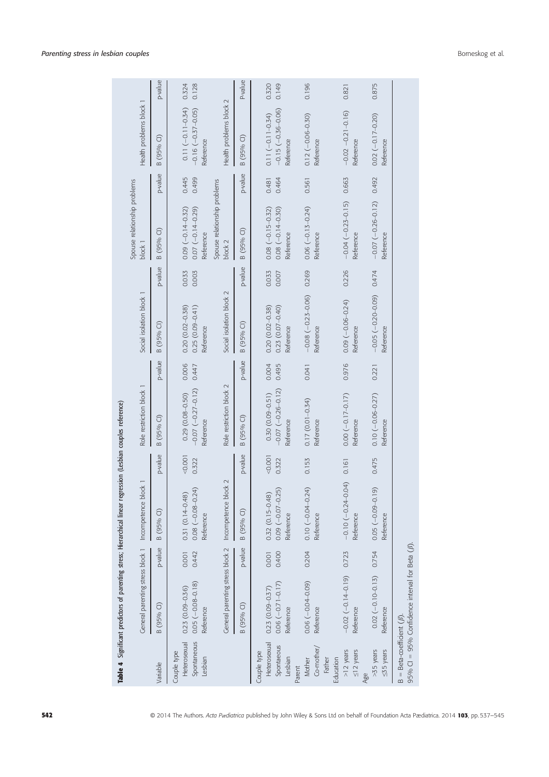|                                                       | Table 4 Significant predictors of parenting stress; Hierarchical linear regression (Lesbian couples reference) |                |                                                                                                                                                                                                                                                                                                   |                |                                                              |                |                                                         |                |                                                             |                |                                                             |                |
|-------------------------------------------------------|----------------------------------------------------------------------------------------------------------------|----------------|---------------------------------------------------------------------------------------------------------------------------------------------------------------------------------------------------------------------------------------------------------------------------------------------------|----------------|--------------------------------------------------------------|----------------|---------------------------------------------------------|----------------|-------------------------------------------------------------|----------------|-------------------------------------------------------------|----------------|
|                                                       |                                                                                                                |                | General parenting stress block 1 Incompetence block 1                                                                                                                                                                                                                                             |                | Role restriction block 1                                     |                | Social isolation block 1                                |                | Spouse relationship problems<br>block 1                     |                | Health problems block 1                                     |                |
| Variable                                              | B (95% CI)                                                                                                     | p-value        | B (95% Cl)                                                                                                                                                                                                                                                                                        | p-value        | B (95% Cl)                                                   | p-value        | B (95% CI)                                              | p-value        | B (95% Cl)                                                  | p-value        | B (95% CI)                                                  | p-value        |
| Spontaneous<br>Heterosexual<br>Couple type<br>Lesbian | $0.05 (-0.08 - 0.18)$<br>$0.23(0.09 - 0.36)$<br>Reference                                                      | 0.442<br>0.001 | $0.08 (-0.08 - 0.24)$<br>$0.31(0.14 - 0.48)$<br>Reference                                                                                                                                                                                                                                         | 1001<br>0.322  | $-0.07$ $(-0.27 - 0.12)$<br>$0.29(0.08 - 0.50)$<br>Reference | 0.006<br>0.447 | $0.20(0.02 - 0.38)$<br>$0.25(0.09 - 0.41)$<br>Reference | 0.033<br>0.003 | $0.09(-0.14 - 0.32)$<br>$0.07(-0.14 - 0.29)$<br>Reference   | 0.445<br>0.499 | $0.11 (-0.11 - 0.34)$<br>$-0.16(-0.37 - 0.05)$<br>Reference | 0.128<br>0.324 |
|                                                       | General parenting stress block 2                                                                               |                | Incompetence block 2                                                                                                                                                                                                                                                                              |                | Role restriction block 2                                     |                | Social isolation block 2                                |                | Spouse relationship problems<br>block 2                     |                | Health problems block 2                                     |                |
|                                                       | B (95% CI)                                                                                                     | p-value        | $\widehat{\cup}$<br>B (95%                                                                                                                                                                                                                                                                        | p-value        | B (95% CI)                                                   | p-value        | B (95% CI)                                              | p-value        | B (95% CI)                                                  | p-value        | B (95% CI)                                                  | P-value        |
| Heterosexual<br>Spontaeous<br>Couple type<br>Lesbian  | $0.06(-0.71 - 0.17)$<br>$0.23(0.09 - 0.37)$<br>Reference                                                       | 0.400<br>0.001 | $0.09(-0.07-0.25)$<br>$0.32(0.15 - 0.48)$<br>Reference                                                                                                                                                                                                                                            | 0.001<br>0.322 | $-0.07(-0.26 - 0.12)$<br>$0.30(0.09 - 0.51)$<br>Reference    | 0.004<br>0.495 | $0.20(0.02 - 0.38)$<br>$0.23(0.07-0.40)$<br>Reference   | 0.033<br>0.007 | $0.08 (-0.15 - 0.32)$<br>$0.08 (-0.14 - 0.30)$<br>Reference | 0.481<br>0.464 | $-0.15(-0.36 - 0.06)$<br>$0.11 (-0.11 - 0.34)$<br>Reference | 0.320<br>0.149 |
| Co-mother/<br>Mother<br>Parent                        | $0.06(-0.04-0.09)$<br>Reference                                                                                | 0.204          | $0.10 (-0.04 - 0.24)$<br>Reference                                                                                                                                                                                                                                                                | 0.153          | $0.17(0.01 - 0.34)$<br>Reference                             | 0.041          | $-0.08$ $(-0.23 - 0.06)$<br>Reference                   | 0.269          | $0.06 (-0.13 - 0.24)$<br>Reference                          | 0.561          | $0.12 (-0.06 - 0.30)$<br>Reference                          | 0.196          |
| $>12$ years<br>$\leq$ 12 years<br>Education<br>Father | $-0.02(-0.14-0.19)$<br>Reference                                                                               | 0.723          | $-0.10(-0.24 - 0.04)$<br>Reference                                                                                                                                                                                                                                                                | 0.161          | $0.00(-0.17 - 0.17)$<br>Reference                            | 0.976          | $0.09(-0.06-0.24)$<br>Reference                         | 0.226          | $-0.04$ $(-0.23 - 0.15)$<br>Reference                       | 0.663          | $-0.02 - 0.21 - 0.16$<br>Reference                          | 0.821          |
| >35 years<br>$55$ years<br>Age                        | $0.02 (-0.10 - 0.13)$<br>Reference                                                                             | 0.754          | $\widehat{\circ}$<br>$0.05 (-0.09 - 0.09 - 0.09 - 0.09 - 0.09 - 0.09 - 0.09 - 0.000 - 0.000 - 0.000 - 0.000 - 0.000 - 0.000 - 0.000 - 0.000 - 0.000 - 0.000 - 0.000 - 0.000 - 0.000 - 0.000 - 0.000 - 0.000 - 0.000 - 0.000 - 0.000 - 0.000 - 0.000 - 0.000 - 0.000 - 0.000 - 0.000$<br>Reference | 0.475          | $0.10 (-0.06 - 0.27)$<br>Reference                           | 0.221          | $-0.05$ $(-0.20 - 0.09)$ 0.474<br>Reference             |                | $-0.07$ $(-0.26 - 0.12)$<br>Reference                       | 0.492          | $0.02(-0.17-0.20)$<br>Reference                             | 0.875          |
| $B = Beta-coefficient (\beta)$                        | 95% Cl = 95% Confidence interval for Beta $(\beta)$ .                                                          |                |                                                                                                                                                                                                                                                                                                   |                |                                                              |                |                                                         |                |                                                             |                |                                                             |                |

J.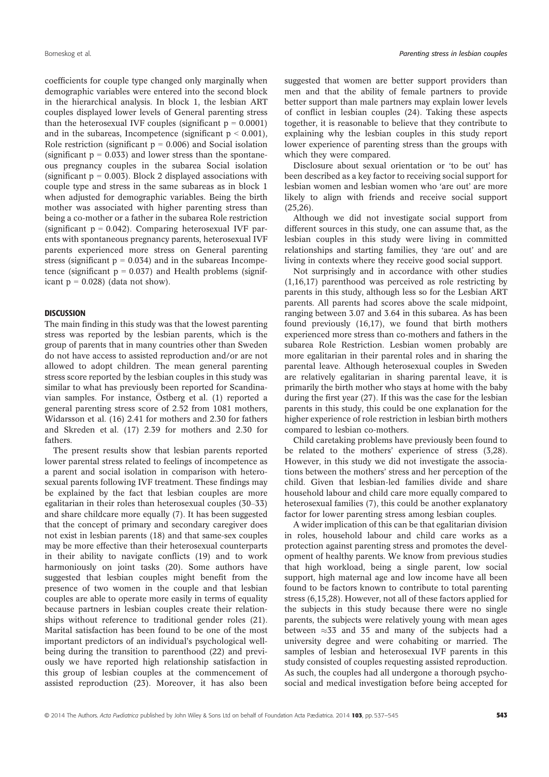coefficients for couple type changed only marginally when demographic variables were entered into the second block in the hierarchical analysis. In block 1, the lesbian ART couples displayed lower levels of General parenting stress than the heterosexual IVF couples (significant  $p = 0.0001$ ) and in the subareas, Incompetence (significant  $p < 0.001$ ), Role restriction (significant  $p = 0.006$ ) and Social isolation (significant  $p = 0.033$ ) and lower stress than the spontaneous pregnancy couples in the subarea Social isolation (significant  $p = 0.003$ ). Block 2 displayed associations with couple type and stress in the same subareas as in block 1 when adjusted for demographic variables. Being the birth mother was associated with higher parenting stress than being a co-mother or a father in the subarea Role restriction (significant  $p = 0.042$ ). Comparing heterosexual IVF parents with spontaneous pregnancy parents, heterosexual IVF parents experienced more stress on General parenting stress (significant  $p = 0.034$ ) and in the subareas Incompetence (significant  $p = 0.037$ ) and Health problems (significant  $p = 0.028$ ) (data not show).

## **DISCUSSION**

The main finding in this study was that the lowest parenting stress was reported by the lesbian parents, which is the group of parents that in many countries other than Sweden do not have access to assisted reproduction and/or are not allowed to adopt children. The mean general parenting stress score reported by the lesbian couples in this study was similar to what has previously been reported for Scandinavian samples. For instance,  $O$ stberg et al.  $(1)$  reported a general parenting stress score of 2.52 from 1081 mothers, Widarsson et al. (16) 2.41 for mothers and 2.30 for fathers and Skreden et al. (17) 2.39 for mothers and 2.30 for fathers.

The present results show that lesbian parents reported lower parental stress related to feelings of incompetence as a parent and social isolation in comparison with heterosexual parents following IVF treatment. These findings may be explained by the fact that lesbian couples are more egalitarian in their roles than heterosexual couples (30–33) and share childcare more equally (7). It has been suggested that the concept of primary and secondary caregiver does not exist in lesbian parents (18) and that same-sex couples may be more effective than their heterosexual counterparts in their ability to navigate conflicts (19) and to work harmoniously on joint tasks (20). Some authors have suggested that lesbian couples might benefit from the presence of two women in the couple and that lesbian couples are able to operate more easily in terms of equality because partners in lesbian couples create their relationships without reference to traditional gender roles (21). Marital satisfaction has been found to be one of the most important predictors of an individual's psychological wellbeing during the transition to parenthood (22) and previously we have reported high relationship satisfaction in this group of lesbian couples at the commencement of assisted reproduction (23). Moreover, it has also been suggested that women are better support providers than men and that the ability of female partners to provide better support than male partners may explain lower levels of conflict in lesbian couples (24). Taking these aspects together, it is reasonable to believe that they contribute to explaining why the lesbian couples in this study report lower experience of parenting stress than the groups with which they were compared.

Disclosure about sexual orientation or 'to be out' has been described as a key factor to receiving social support for lesbian women and lesbian women who 'are out' are more likely to align with friends and receive social support  $(25.26)$ .

Although we did not investigate social support from different sources in this study, one can assume that, as the lesbian couples in this study were living in committed relationships and starting families, they 'are out' and are living in contexts where they receive good social support.

Not surprisingly and in accordance with other studies (1,16,17) parenthood was perceived as role restricting by parents in this study, although less so for the Lesbian ART parents. All parents had scores above the scale midpoint, ranging between 3.07 and 3.64 in this subarea. As has been found previously (16,17), we found that birth mothers experienced more stress than co-mothers and fathers in the subarea Role Restriction. Lesbian women probably are more egalitarian in their parental roles and in sharing the parental leave. Although heterosexual couples in Sweden are relatively egalitarian in sharing parental leave, it is primarily the birth mother who stays at home with the baby during the first year (27). If this was the case for the lesbian parents in this study, this could be one explanation for the higher experience of role restriction in lesbian birth mothers compared to lesbian co-mothers.

Child caretaking problems have previously been found to be related to the mothers' experience of stress (3,28). However, in this study we did not investigate the associations between the mothers' stress and her perception of the child. Given that lesbian-led families divide and share household labour and child care more equally compared to heterosexual families (7), this could be another explanatory factor for lower parenting stress among lesbian couples.

A wider implication of this can be that egalitarian division in roles, household labour and child care works as a protection against parenting stress and promotes the development of healthy parents. We know from previous studies that high workload, being a single parent, low social support, high maternal age and low income have all been found to be factors known to contribute to total parenting stress (6,15,28). However, not all of these factors applied for the subjects in this study because there were no single parents, the subjects were relatively young with mean ages between  $\approx$  33 and 35 and many of the subjects had a university degree and were cohabiting or married. The samples of lesbian and heterosexual IVF parents in this study consisted of couples requesting assisted reproduction. As such, the couples had all undergone a thorough psychosocial and medical investigation before being accepted for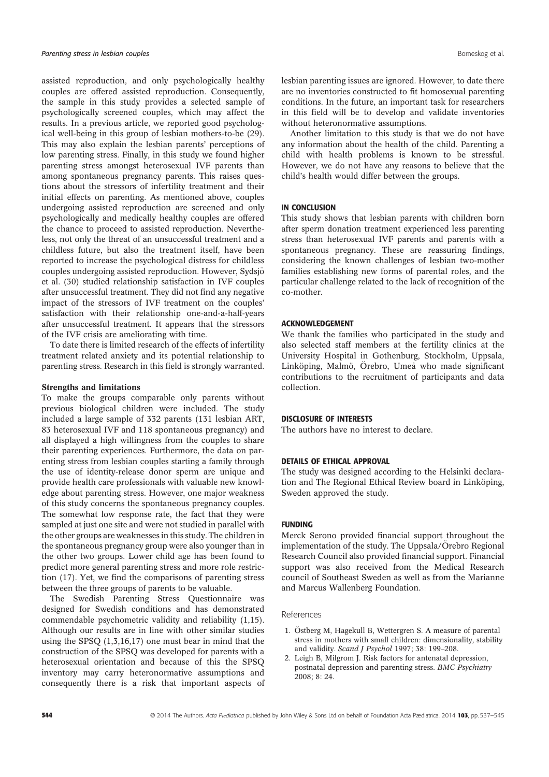assisted reproduction, and only psychologically healthy couples are offered assisted reproduction. Consequently, the sample in this study provides a selected sample of psychologically screened couples, which may affect the results. In a previous article, we reported good psychological well-being in this group of lesbian mothers-to-be (29). This may also explain the lesbian parents' perceptions of low parenting stress. Finally, in this study we found higher parenting stress amongst heterosexual IVF parents than among spontaneous pregnancy parents. This raises questions about the stressors of infertility treatment and their initial effects on parenting. As mentioned above, couples undergoing assisted reproduction are screened and only psychologically and medically healthy couples are offered the chance to proceed to assisted reproduction. Nevertheless, not only the threat of an unsuccessful treatment and a childless future, but also the treatment itself, have been reported to increase the psychological distress for childless couples undergoing assisted reproduction. However, Sydsjö et al. (30) studied relationship satisfaction in IVF couples after unsuccessful treatment. They did not find any negative impact of the stressors of IVF treatment on the couples' satisfaction with their relationship one-and-a-half-years after unsuccessful treatment. It appears that the stressors of the IVF crisis are ameliorating with time.

To date there is limited research of the effects of infertility treatment related anxiety and its potential relationship to parenting stress. Research in this field is strongly warranted.

#### Strengths and limitations

To make the groups comparable only parents without previous biological children were included. The study included a large sample of 332 parents (131 lesbian ART, 83 heterosexual IVF and 118 spontaneous pregnancy) and all displayed a high willingness from the couples to share their parenting experiences. Furthermore, the data on parenting stress from lesbian couples starting a family through the use of identity-release donor sperm are unique and provide health care professionals with valuable new knowledge about parenting stress. However, one major weakness of this study concerns the spontaneous pregnancy couples. The somewhat low response rate, the fact that they were sampled at just one site and were not studied in parallel with the other groups are weaknesses in this study. The children in the spontaneous pregnancy group were also younger than in the other two groups. Lower child age has been found to predict more general parenting stress and more role restriction (17). Yet, we find the comparisons of parenting stress between the three groups of parents to be valuable.

The Swedish Parenting Stress Questionnaire was designed for Swedish conditions and has demonstrated commendable psychometric validity and reliability (1,15). Although our results are in line with other similar studies using the SPSQ (1,3,16,17) one must bear in mind that the construction of the SPSQ was developed for parents with a heterosexual orientation and because of this the SPSQ inventory may carry heteronormative assumptions and consequently there is a risk that important aspects of lesbian parenting issues are ignored. However, to date there are no inventories constructed to fit homosexual parenting conditions. In the future, an important task for researchers in this field will be to develop and validate inventories without heteronormative assumptions.

Another limitation to this study is that we do not have any information about the health of the child. Parenting a child with health problems is known to be stressful. However, we do not have any reasons to believe that the child's health would differ between the groups.

## IN CONCLUSION

This study shows that lesbian parents with children born after sperm donation treatment experienced less parenting stress than heterosexual IVF parents and parents with a spontaneous pregnancy. These are reassuring findings, considering the known challenges of lesbian two-mother families establishing new forms of parental roles, and the particular challenge related to the lack of recognition of the co-mother.

#### ACKNOWLEDGEMENT

We thank the families who participated in the study and also selected staff members at the fertility clinics at the University Hospital in Gothenburg, Stockholm, Uppsala, Linköping, Malmö, Örebro, Umeå who made significant contributions to the recruitment of participants and data collection.

#### DISCLOSURE OF INTERESTS

The authors have no interest to declare.

## DETAILS OF ETHICAL APPROVAL

The study was designed according to the Helsinki declaration and The Regional Ethical Review board in Linköping, Sweden approved the study.

## FUNDING

Merck Serono provided financial support throughout the implementation of the study. The Uppsala/Örebro Regional Research Council also provided financial support. Financial support was also received from the Medical Research council of Southeast Sweden as well as from the Marianne and Marcus Wallenberg Foundation.

#### References

- 1. Östberg M, Hagekull B, Wettergren S. A measure of parental stress in mothers with small children: dimensionality, stability and validity. Scand J Psychol 1997; 38: 199-208.
- 2. Leigh B, Milgrom J. Risk factors for antenatal depression, postnatal depression and parenting stress. BMC Psychiatry 2008; 8: 24.